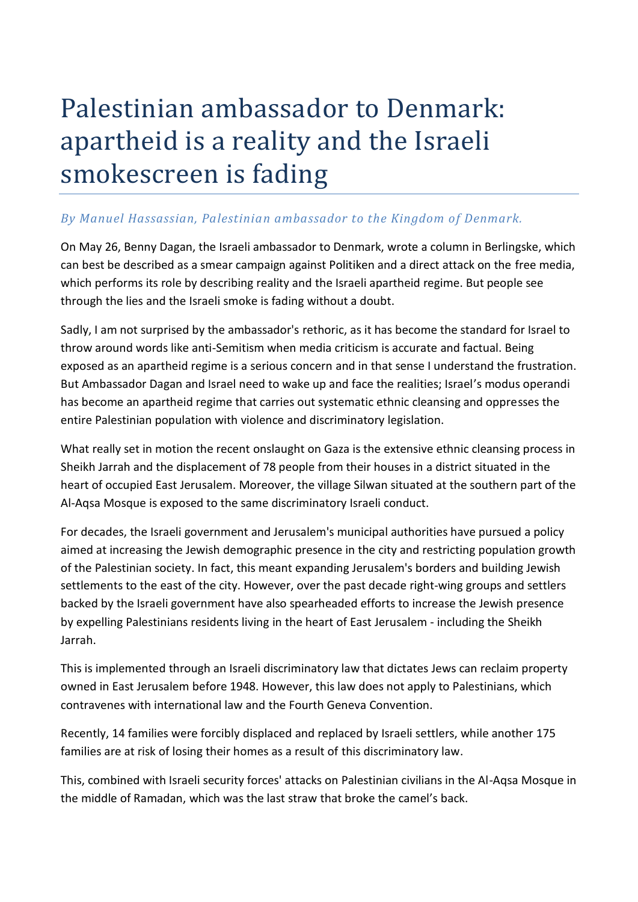## Palestinian ambassador to Denmark: apartheid is a reality and the Israeli smokescreen is fading

## *By Manuel Hassassian, Palestinian ambassador to the Kingdom of Denmark.*

On May 26, Benny Dagan, the Israeli ambassador to Denmark, wrote a column in Berlingske, which can best be described as a smear campaign against Politiken and a direct attack on the free media, which performs its role by describing reality and the Israeli apartheid regime. But people see through the lies and the Israeli smoke is fading without a doubt.

Sadly, I am not surprised by the ambassador's rethoric, as it has become the standard for Israel to throw around words like anti-Semitism when media criticism is accurate and factual. Being exposed as an apartheid regime is a serious concern and in that sense I understand the frustration. But Ambassador Dagan and Israel need to wake up and face the realities; Israel's modus operandi has become an apartheid regime that carries out systematic ethnic cleansing and oppresses the entire Palestinian population with violence and discriminatory legislation.

What really set in motion the recent onslaught on Gaza is the extensive ethnic cleansing process in Sheikh Jarrah and the displacement of 78 people from their houses in a district situated in the heart of occupied East Jerusalem. Moreover, the village Silwan situated at the southern part of the Al-Aqsa Mosque is exposed to the same discriminatory Israeli conduct.

For decades, the Israeli government and Jerusalem's municipal authorities have pursued a policy aimed at increasing the Jewish demographic presence in the city and restricting population growth of the Palestinian society. In fact, this meant expanding Jerusalem's borders and building Jewish settlements to the east of the city. However, over the past decade right-wing groups and settlers backed by the Israeli government have also spearheaded efforts to increase the Jewish presence by expelling Palestinians residents living in the heart of East Jerusalem - including the Sheikh Jarrah.

This is implemented through an Israeli discriminatory law that dictates Jews can reclaim property owned in East Jerusalem before 1948. However, this law does not apply to Palestinians, which contravenes with international law and the Fourth Geneva Convention.

Recently, 14 families were forcibly displaced and replaced by Israeli settlers, while another 175 families are at risk of losing their homes as a result of this discriminatory law.

This, combined with Israeli security forces' attacks on Palestinian civilians in the Al-Aqsa Mosque in the middle of Ramadan, which was the last straw that broke the camel's back.